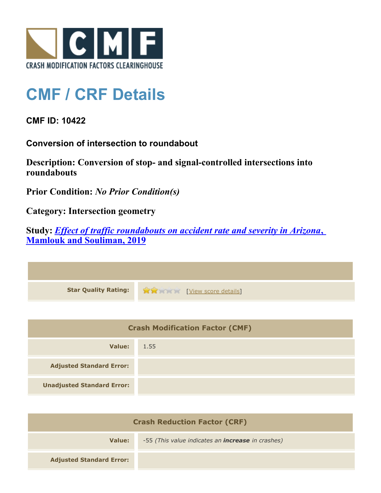

## **CMF / CRF Details**

**CMF ID: 10422**

**Conversion of intersection to roundabout**

**Description: Conversion of stop- and signal-controlled intersections into roundabouts**

**Prior Condition:** *No Prior Condition(s)*

**Category: Intersection geometry**

**Study:** *[Effect of traffic roundabouts on accident rate and severity in Arizona](http://www.cmfclearinghouse.org/study_detail.cfm?stid=604)***[,](http://www.cmfclearinghouse.org/study_detail.cfm?stid=604) [Mamlouk and Souliman, 2019](http://www.cmfclearinghouse.org/study_detail.cfm?stid=604)**

| Star Quality Rating: 19 20 [View score details] |
|-------------------------------------------------|

| <b>Crash Modification Factor (CMF)</b> |      |
|----------------------------------------|------|
| Value:                                 | 1.55 |
| <b>Adjusted Standard Error:</b>        |      |
| <b>Unadjusted Standard Error:</b>      |      |

| <b>Crash Reduction Factor (CRF)</b> |                                                          |
|-------------------------------------|----------------------------------------------------------|
| Value:                              | -55 (This value indicates an <i>increase</i> in crashes) |
| <b>Adjusted Standard Error:</b>     |                                                          |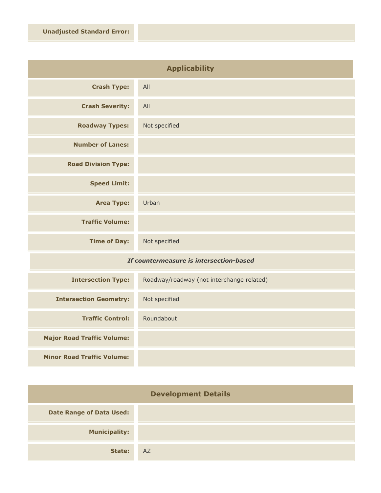| <b>Applicability</b>       |               |
|----------------------------|---------------|
| <b>Crash Type:</b>         | All           |
| <b>Crash Severity:</b>     | All           |
| <b>Roadway Types:</b>      | Not specified |
| <b>Number of Lanes:</b>    |               |
| <b>Road Division Type:</b> |               |
| <b>Speed Limit:</b>        |               |
| <b>Area Type:</b>          | Urban         |
| <b>Traffic Volume:</b>     |               |
| <b>Time of Day:</b>        | Not specified |

## *If countermeasure is intersection-based*

| <b>Intersection Type:</b>         | Roadway/roadway (not interchange related) |
|-----------------------------------|-------------------------------------------|
| <b>Intersection Geometry:</b>     | Not specified                             |
| <b>Traffic Control:</b>           | Roundabout                                |
| <b>Major Road Traffic Volume:</b> |                                           |
| <b>Minor Road Traffic Volume:</b> |                                           |

| <b>Development Details</b>      |    |
|---------------------------------|----|
| <b>Date Range of Data Used:</b> |    |
| <b>Municipality:</b>            |    |
| State:                          | AZ |